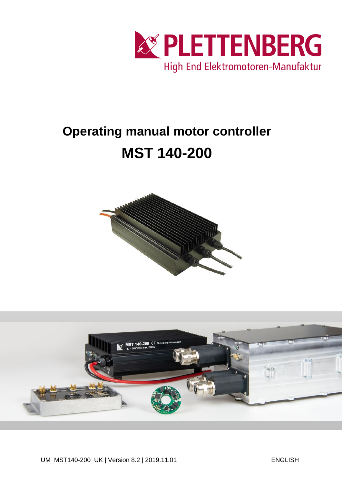

# **Operating manual motor controller MST 140-200**



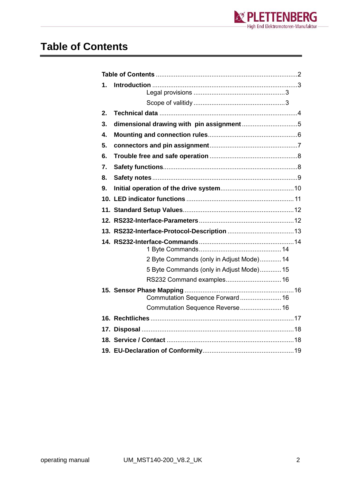

#### <span id="page-1-0"></span>**Table of Contents**

| 1. |                                          |  |  |  |  |  |
|----|------------------------------------------|--|--|--|--|--|
|    |                                          |  |  |  |  |  |
| 2. |                                          |  |  |  |  |  |
| 3. |                                          |  |  |  |  |  |
| 4. |                                          |  |  |  |  |  |
| 5. |                                          |  |  |  |  |  |
| 6. |                                          |  |  |  |  |  |
| 7. |                                          |  |  |  |  |  |
| 8. |                                          |  |  |  |  |  |
| 9. |                                          |  |  |  |  |  |
|    |                                          |  |  |  |  |  |
|    |                                          |  |  |  |  |  |
|    |                                          |  |  |  |  |  |
|    |                                          |  |  |  |  |  |
|    |                                          |  |  |  |  |  |
|    | 2 Byte Commands (only in Adjust Mode) 14 |  |  |  |  |  |
|    | 5 Byte Commands (only in Adjust Mode) 15 |  |  |  |  |  |
|    | RS232 Command examples 16                |  |  |  |  |  |
|    | Commutation Sequence Forward 16          |  |  |  |  |  |
|    | Commutation Sequence Reverse 16          |  |  |  |  |  |
|    |                                          |  |  |  |  |  |
|    |                                          |  |  |  |  |  |
|    |                                          |  |  |  |  |  |
|    |                                          |  |  |  |  |  |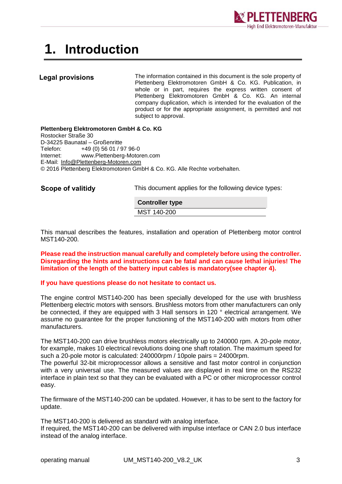

### <span id="page-2-0"></span>**1. Introduction**

#### <span id="page-2-1"></span>**Legal provisions**

The information contained in this document is the sole property of Plettenberg Elektromotoren GmbH & Co. KG. Publication, in whole or in part, requires the express written consent of Plettenberg Elektromotoren GmbH & Co. KG. An internal company duplication, which is intended for the evaluation of the product or for the appropriate assignment, is permitted and not subject to approval.

**Plettenberg Elektromotoren GmbH & Co. KG** Rostocker Straße 30 D-34225 Baunatal – Großenritte Telefon: +49 (0) 56 01 / 97 96-0 Internet: www.Plettenberg-Motoren.com E-Mail: [Info@Plettenberg-Motoren.com](mailto:Info@Plettenberg-Motoren.com) © 2016 Plettenberg Elektromotoren GmbH & Co. KG. Alle Rechte vorbehalten.

<span id="page-2-2"></span>**Scope of valitidy**

This document applies for the following device types:

**Controller type** MST 140-200

This manual describes the features, installation and operation of Plettenberg motor control MST140-200.

**Please read the instruction manual carefully and completely before using the controller. Disregarding the hints and instructions can be fatal and can cause lethal injuries! The limitation of the length of the battery input cables is mandatory(see chapter 4).**

#### **If you have questions please do not hesitate to contact us.**

The engine control MST140-200 has been specially developed for the use with brushless Plettenberg electric motors with sensors. Brushless motors from other manufacturers can only be connected, if they are equipped with 3 Hall sensors in 120 ° electrical arrangement. We assume no guarantee for the proper functioning of the MST140-200 with motors from other manufacturers.

The MST140-200 can drive brushless motors electrically up to 240000 rpm. A 20-pole motor, for example, makes 10 electrical revolutions doing one shaft rotation. The maximum speed for such a 20-pole motor is calculated: 240000rpm / 10pole pairs = 24000rpm.

The powerful 32-bit microprocessor allows a sensitive and fast motor control in conjunction with a very universal use. The measured values are displayed in real time on the RS232 interface in plain text so that they can be evaluated with a PC or other microprocessor control easy.

The firmware of the MST140-200 can be updated. However, it has to be sent to the factory for update.

The MST140-200 is delivered as standard with analog interface.

If required, the MST140-200 can be delivered with impulse interface or CAN 2.0 bus interface instead of the analog interface.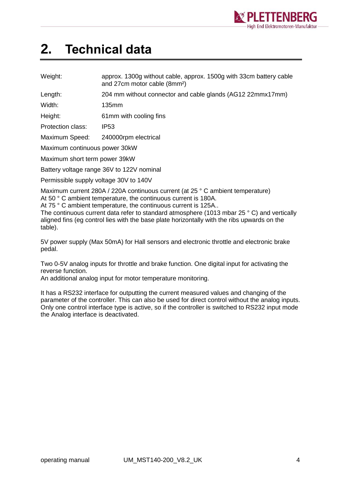

### <span id="page-3-0"></span>**2. Technical data**

| Weight: | approx. 1300g without cable, approx. 1500g with 33cm battery cable |
|---------|--------------------------------------------------------------------|
|         | and 27cm motor cable (8mm <sup>2</sup> )                           |

Length: 204 mm without connector and cable glands (AG12 22mmx17mm)

Width: 135mm

Height: 61mm with cooling fins

Protection class: IP53

Maximum Speed: 240000rpm electrical

Maximum continuous power 30kW

Maximum short term power 39kW

Battery voltage range 36V to 122V nominal

Permissible supply voltage 30V to 140V

Maximum current 280A / 220A continuous current (at 25 ° C ambient temperature) At 50 °C ambient temperature, the continuous current is 180A.

At 75 ° C ambient temperature, the continuous current is 125A..

The continuous current data refer to standard atmosphere (1013 mbar 25 ° C) and vertically aligned fins (eg control lies with the base plate horizontally with the ribs upwards on the table).

5V power supply (Max 50mA) for Hall sensors and electronic throttle and electronic brake pedal.

Two 0-5V analog inputs for throttle and brake function. One digital input for activating the reverse function.

An additional analog input for motor temperature monitoring.

It has a RS232 interface for outputting the current measured values and changing of the parameter of the controller. This can also be used for direct control without the analog inputs. Only one control interface type is active, so if the controller is switched to RS232 input mode the Analog interface is deactivated.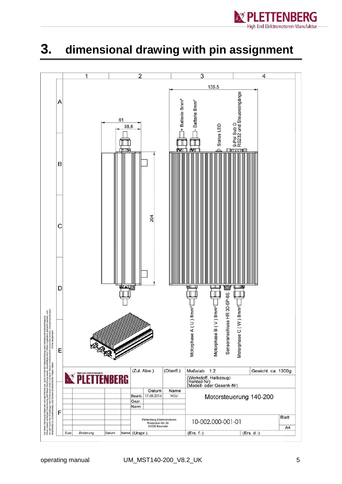

#### <span id="page-4-0"></span>**3. dimensional drawing with pin assignment**

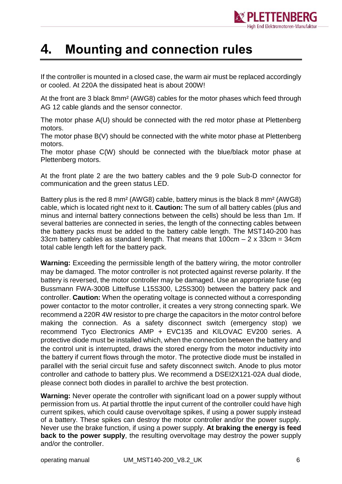

#### <span id="page-5-0"></span>**4. Mounting and connection rules**

If the controller is mounted in a closed case, the warm air must be replaced accordingly or cooled. At 220A the dissipated heat is about 200W!

At the front are 3 black 8mm² (AWG8) cables for the motor phases which feed through AG 12 cable glands and the sensor connector.

The motor phase A(U) should be connected with the red motor phase at Plettenberg motors.

The motor phase B(V) should be connected with the white motor phase at Plettenberg motors.

The motor phase C(W) should be connected with the blue/black motor phase at Plettenberg motors.

At the front plate 2 are the two battery cables and the 9 pole Sub-D connector for communication and the green status LED.

Battery plus is the red 8 mm² (AWG8) cable, battery minus is the black 8 mm² (AWG8) cable, which is located right next to it. **Caution:** The sum of all battery cables (plus and minus and internal battery connections between the cells) should be less than 1m. If several batteries are connected in series, the length of the connecting cables between the battery packs must be added to the battery cable length. The MST140-200 has 33cm battery cables as standard length. That means that  $100 \text{cm} - 2 \times 33 \text{cm} = 34 \text{cm}$ total cable length left for the battery pack.

**Warning:** Exceeding the permissible length of the battery wiring, the motor controller may be damaged. The motor controller is not protected against reverse polarity. If the battery is reversed, the motor controller may be damaged. Use an appropriate fuse (eg Bussmann FWA-300B Littelfuse L15S300, L25S300) between the battery pack and controller. **Caution:** When the operating voltage is connected without a corresponding power contactor to the motor controller, it creates a very strong connecting spark. We recommend a 220R 4W resistor to pre charge the capacitors in the motor control before making the connection. As a safety disconnect switch (emergency stop) we recommend Tyco Electronics AMP + EVC135 and KILOVAC EV200 series. A protective diode must be installed which, when the connection between the battery and the control unit is interrupted, draws the stored energy from the motor inductivity into the battery if current flows through the motor. The protective diode must be installed in parallel with the serial circuit fuse and safety disconnect switch. Anode to plus motor controller and cathode to battery plus. We recommend a DSEI2X121-02A dual diode, please connect both diodes in parallel to archive the best protection.

**Warning:** Never operate the controller with significant load on a power supply without permission from us. At partial throttle the input current of the controller could have high current spikes, which could cause overvoltage spikes, if using a power supply instead of a battery. These spikes can destroy the motor controller and/or the power supply. Never use the brake function, if using a power supply. **At braking the energy is feed back to the power supply**, the resulting overvoltage may destroy the power supply and/or the controller.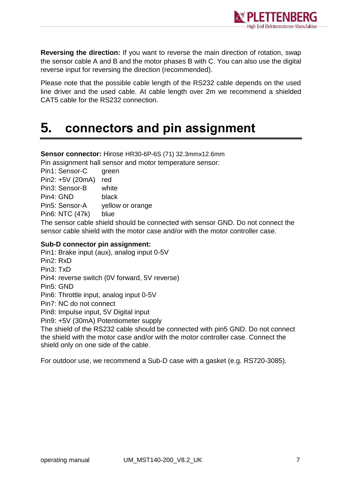

**Reversing the direction:** If you want to reverse the main direction of rotation, swap the sensor cable A and B and the motor phases B with C. You can also use the digital reverse input for reversing the direction (recommended).

Please note that the possible cable length of the RS232 cable depends on the used line driver and the used cable. At cable length over 2m we recommend a shielded CAT5 cable for the RS232 connection.

### <span id="page-6-0"></span>**5. connectors and pin assignment**

**Sensor connector:** Hirose HR30-6P-6S (71) 32.3mmx12.6mm Pin assignment hall sensor and motor temperature sensor:

Pin1: Sensor-C green Pin2: +5V (20mA) red Pin3: Sensor-B white Pin4: GND black Pin5: Sensor-A yellow or orange Pin6: NTC (47k) blue

The sensor cable shield should be connected with sensor GND. Do not connect the sensor cable shield with the motor case and/or with the motor controller case.

#### **Sub-D connector pin assignment:**

Pin1: Brake input (aux), analog input 0-5V Pin2: RxD Pin3: TxD Pin4: reverse switch (0V forward, 5V reverse) Pin5: GND Pin6: Throttle input, analog input 0-5V Pin7: NC do not connect Pin8: Impulse input, 5V Digital input Pin9: +5V (30mA) Potentiometer supply

The shield of the RS232 cable should be connected with pin5 GND. Do not connect the shield with the motor case and/or with the motor controller case. Connect the shield only on one side of the cable.

For outdoor use, we recommend a Sub-D case with a gasket (e.g. RS720-3085).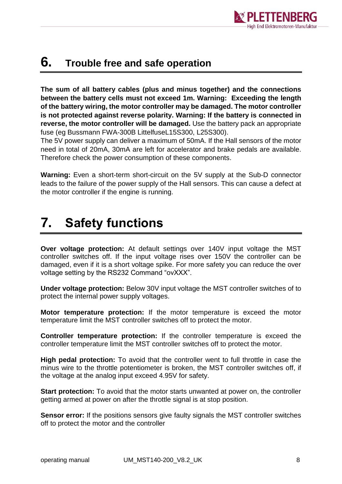

#### <span id="page-7-0"></span>**6. Trouble free and safe operation**

**The sum of all battery cables (plus and minus together) and the connections between the battery cells must not exceed 1m. Warning: Exceeding the length of the battery wiring, the motor controller may be damaged. The motor controller is not protected against reverse polarity. Warning: If the battery is connected in reverse, the motor controller will be damaged.** Use the battery pack an appropriate fuse (eg Bussmann FWA-300B LittelfuseL15S300, L25S300).

The 5V power supply can deliver a maximum of 50mA. If the Hall sensors of the motor need in total of 20mA, 30mA are left for accelerator and brake pedals are available. Therefore check the power consumption of these components.

**Warning:** Even a short-term short-circuit on the 5V supply at the Sub-D connector leads to the failure of the power supply of the Hall sensors. This can cause a defect at the motor controller if the engine is running.

### <span id="page-7-1"></span>**7. Safety functions**

**Over voltage protection:** At default settings over 140V input voltage the MST controller switches off. If the input voltage rises over 150V the controller can be damaged, even if it is a short voltage spike. For more safety you can reduce the over voltage setting by the RS232 Command "ovXXX".

**Under voltage protection:** Below 30V input voltage the MST controller switches of to protect the internal power supply voltages.

**Motor temperature protection:** If the motor temperature is exceed the motor temperature limit the MST controller switches off to protect the motor.

**Controller temperature protection:** If the controller temperature is exceed the controller temperature limit the MST controller switches off to protect the motor.

**High pedal protection:** To avoid that the controller went to full throttle in case the minus wire to the throttle potentiometer is broken, the MST controller switches off, if the voltage at the analog input exceed 4.95V for safety.

**Start protection:** To avoid that the motor starts unwanted at power on, the controller getting armed at power on after the throttle signal is at stop position.

**Sensor error:** If the positions sensors give faulty signals the MST controller switches off to protect the motor and the controller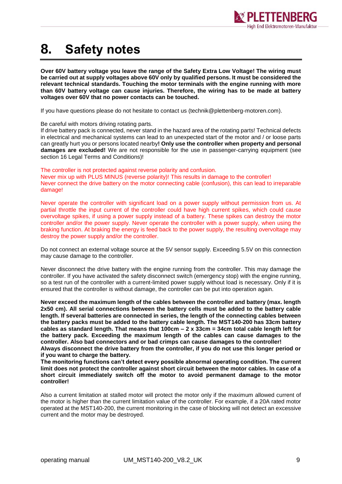

### <span id="page-8-0"></span>**8. Safety notes**

**Over 60V battery voltage you leave the range of the Safety Extra Low Voltage! The wiring must be carried out at supply voltages above 60V only by qualified persons. It must be considered the relevant technical standards. Touching the motor terminals with the engine running with more than 60V battery voltage can cause injuries. Therefore, the wiring has to be made at battery voltages over 60V that no power contacts can be touched.**

If you have questions please do not hesitate to contact us (technik@plettenberg-motoren.com).

Be careful with motors driving rotating parts.

If drive battery pack is connected, never stand in the hazard area of the rotating parts! Technical defects in electrical and mechanical systems can lead to an unexpected start of the motor and / or loose parts can greatly hurt you or persons located nearby**! Only use the controller when property and personal damages are excluded!** We are not responsible for the use in passenger-carrying equipment (see section 16 Legal Terms and Conditions)!

The controller is not protected against reverse polarity and confusion.

Never mix up with PLUS MINUS (reverse polarity)! This results in damage to the controller! Never connect the drive battery on the motor connecting cable (confusion), this can lead to irreparable damage!

Never operate the controller with significant load on a power supply without permission from us. At partial throttle the input current of the controller could have high current spikes, which could cause overvoltage spikes, if using a power supply instead of a battery. These spikes can destroy the motor controller and/or the power supply. Never operate the controller with a power supply, when using the braking function. At braking the energy is feed back to the power supply, the resulting overvoltage may destroy the power supply and/or the controller.

Do not connect an external voltage source at the 5V sensor supply. Exceeding 5.5V on this connection may cause damage to the controller.

Never disconnect the drive battery with the engine running from the controller. This may damage the controller. If you have activated the safety disconnect switch (emergency stop) with the engine running, so a test run of the controller with a current-limited power supply without load is necessary. Only if it is ensured that the controller is without damage, the controller can be put into operation again.

**Never exceed the maximum length of the cables between the controller and battery (max. length 2x50 cm). All serial connections between the battery cells must be added to the battery cable length. If several batteries are connected in series, the length of the connecting cables between the battery packs must be added to the battery cable length. The MST140-200 has 33cm battery cables as standard length. That means that 100cm – 2 x 33cm = 34cm total cable length left for the battery pack. Exceeding the maximum length of the cables can cause damages to the controller. Also bad connectors and or bad crimps can cause damages to the controller! Always disconnect the drive battery from the controller, if you do not use this longer period or if you want to charge the battery.**

**The monitoring functions can't detect every possible abnormal operating condition. The current limit does not protect the controller against short circuit between the motor cables. In case of a short circuit immediately switch off the motor to avoid permanent damage to the motor controller!**

Also a current limitation at stalled motor will protect the motor only if the maximum allowed current of the motor is higher than the current limitation value of the controller. For example, if a 20A rated motor operated at the MST140-200, the current monitoring in the case of blocking will not detect an excessive current and the motor may be destroyed.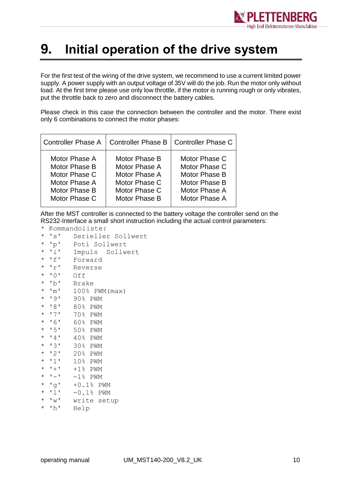

#### <span id="page-9-0"></span>**9. Initial operation of the drive system**

For the first test of the wiring of the drive system, we recommend to use a current limited power supply. A power supply with an output voltage of 35V will do the job. Run the motor only without load. At the first time please use only low throttle, if the motor is running rough or only vibrates, put the throttle back to zero and disconnect the battery cables.

Please check in this case the connection between the controller and the motor. There exist only 6 combinations to connect the motor phases:

| <b>Controller Phase A</b> |               | Controller Phase B   Controller Phase C |  |  |
|---------------------------|---------------|-----------------------------------------|--|--|
| Motor Phase A             | Motor Phase B | Motor Phase C                           |  |  |
| Motor Phase B             | Motor Phase A | Motor Phase C                           |  |  |
| Motor Phase C             | Motor Phase A | Motor Phase B                           |  |  |
| Motor Phase A             | Motor Phase C | Motor Phase B                           |  |  |
| Motor Phase B             | Motor Phase C | Motor Phase A                           |  |  |
| Motor Phase C             | Motor Phase B | Motor Phase A                           |  |  |

After the MST controller is connected to the battery voltage the controller send on the RS232-Interface a small short instruction including the actual control parameters:

- \* Kommandoliste:
- \* 's' Serieller Sollwert
- \* 'p' Poti Sollwert
- \* 'i' Impuls Sollwert
- \* 'f' Forward \* 'r' Reverse
- 
- \* '0' Off
- \* 'b' Brake
- $*$  'm'  $100\%$  PWM (max)
- \* '9' 90% PWM
- \* '8' 80% PWM
- \* '7' 70% PWM
- \* '6' 60% PWM
- \* '5' 50% PWM
- \* '4' 40% PWM
- \* '3' 30% PWM
- \* '2' 20% PWM
- \* '1' 10% PWM
- $\star$  '+' +1% PWM
- $\star$  '-' -1% PWM
- \* 'g' +0.1% PWM
- \* 'l' -0.1% PWM
- \* 'w' write setup
- \* 'h' Help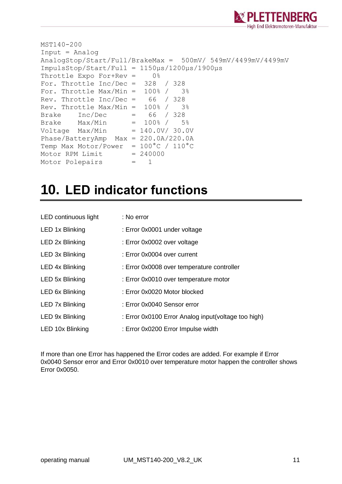

```
MST140-200
Input = Analog
AnalogStop/Start/Full/BrakeMax = 500mV/ 549mV/4499mV/4499mV
ImpulsStop/Start/Full = 1150µs/1200µs/1900µs
Throttle Expo For+Rev = 0%
For. Throttle Inc/Dec = 328 / 328
For. Throttle Max/Min = 100\% / 3\%Rev. Throttle Inc/Dec = 66 / 328
Rev. Throttle Max/Min = 100\% / 3\%Brake Inc/Dec = 66 / 328
Brake Max/Min = 100\frac{8}{7} 5%
Voltage Max/Min = 140.0V/ 30.0V
Phase/BatteryAmp Max = 220.0A/220.0A
Temp Max Motor/Power = 100^{\circ}C / 110^{\circ}C
Motor RPM Limit = 240000
Motor Polepairs = 1
```
#### <span id="page-10-0"></span>**10. LED indicator functions**

| LED continuous light   | : No error                                          |
|------------------------|-----------------------------------------------------|
| LED 1x Blinking        | : Error 0x0001 under voltage                        |
| LED 2x Blinking        | : Error 0x0002 over voltage                         |
| LED 3x Blinking        | : Error 0x0004 over current                         |
| LED 4x Blinking        | : Error 0x0008 over temperature controller          |
| LED 5x Blinking        | : Error 0x0010 over temperature motor               |
| LED 6x Blinking        | : Error 0x0020 Motor blocked                        |
| <b>LED 7x Blinking</b> | : Error 0x0040 Sensor error                         |
| LED 9x Blinking        | : Error 0x0100 Error Analog input(voltage too high) |
| LED 10x Blinking       | : Error 0x0200 Error Impulse width                  |

If more than one Error has happened the Error codes are added. For example if Error 0x0040 Sensor error and Error 0x0010 over temperature motor happen the controller shows Error 0x0050.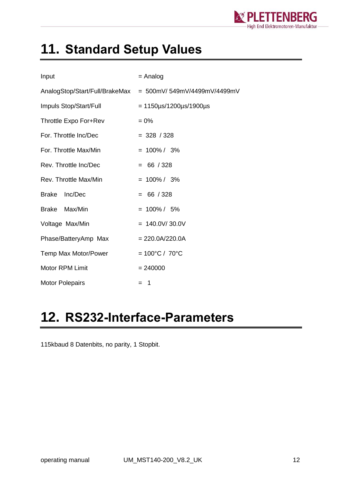

## <span id="page-11-0"></span>**11. Standard Setup Values**

| Input                   | $=$ Analog                                                 |  |  |
|-------------------------|------------------------------------------------------------|--|--|
|                         | AnalogStop/Start/Full/BrakeMax = 500mV/549mV/4499mV/4499mV |  |  |
| Impuls Stop/Start/Full  | $= 1150 \mu s / 1200 \mu s / 1900 \mu s$                   |  |  |
| Throttle Expo For+Rev   | $= 0\%$                                                    |  |  |
| For. Throttle Inc/Dec   | $= 328 / 328$                                              |  |  |
| For. Throttle Max/Min   | $= 100\% / 3\%$                                            |  |  |
| Rev. Throttle Inc/Dec   | $= 66 / 328$                                               |  |  |
| Rev. Throttle Max/Min   | $= 100\% / 3\%$                                            |  |  |
| <b>Brake</b><br>Inc/Dec | $= 66 / 328$                                               |  |  |
| Max/Min<br>Brake        | $= 100\% / 5\%$                                            |  |  |
| Voltage Max/Min         | $= 140.0 V / 30.0 V$                                       |  |  |
| Phase/BatteryAmp Max    | $= 220.0A/220.0A$                                          |  |  |
| Temp Max Motor/Power    | $= 100^{\circ}C / 70^{\circ}C$                             |  |  |
| <b>Motor RPM Limit</b>  | $= 240000$                                                 |  |  |
| <b>Motor Polepairs</b>  | $=$ 1                                                      |  |  |

### <span id="page-11-1"></span>**12. RS232-Interface-Parameters**

115kbaud 8 Datenbits, no parity, 1 Stopbit.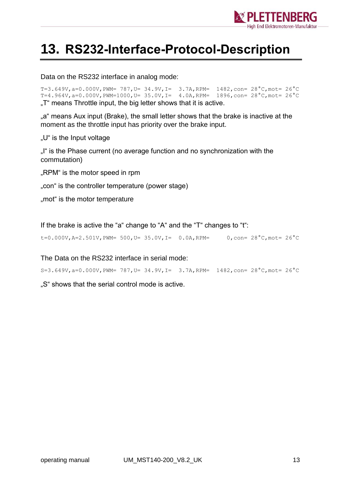

### <span id="page-12-0"></span>**13. RS232-Interface-Protocol-Description**

Data on the RS232 interface in analog mode:

T=3.649V, a=0.000V, PWM= 787, U= 34.9V, I= 3.7A, RPM=  $1482$ , con=  $28^{\circ}$ C, mot=  $26^{\circ}$ C T=4.964V, a=0.000V, PWM=1000, U= 35.0V, I= 4.0A, RPM=  $1896$ , con=  $28^{\circ}$ C, mot=  $26^{\circ}$ C ..T" means Throttle input, the big letter shows that it is active.

"a" means Aux input (Brake), the small letter shows that the brake is inactive at the moment as the throttle input has priority over the brake input.

"U" is the Input voltage

"I" is the Phase current (no average function and no synchronization with the commutation)

"RPM" is the motor speed in rpm

"con" is the controller temperature (power stage)

..mot" is the motor temperature

If the brake is active the "a" change to "A" and the "T" changes to "t":

t=0.000V, A=2.501V, PWM= 500, U= 35.0V, I= 0.0A, RPM= 0, con=  $28^{\circ}$ C, mot=  $26^{\circ}$ C

The Data on the RS232 interface in serial mode:

S=3.649V,a=0.000V,PWM= 787,U= 34.9V,I= 3.7A,RPM= 1482,con= 28°C,mot= 26°C

..S" shows that the serial control mode is active.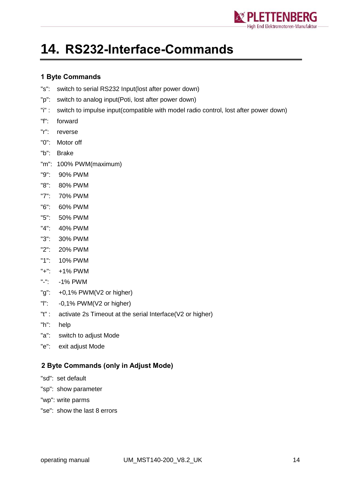

### <span id="page-13-0"></span>**14. RS232-Interface-Commands**

#### <span id="page-13-1"></span>**1 Byte Commands**

- "s": switch to serial RS232 Input(lost after power down)
- "p": switch to analog input(Poti, lost after power down)
- "i" : switch to impulse input(compatible with model radio control, lost after power down)
- "f": forward
- "r": reverse
- "0": Motor off
- "b": Brake
- "m": 100% PWM(maximum)
- "9": 90% PWM
- "8": 80% PWM
- "7": 70% PWM
- "6": 60% PWM
- "5": 50% PWM
- "4": 40% PWM
- "3": 30% PWM
- "2": 20% PWM
- "1": 10% PWM
- "+": +1% PWM
- "-": -1% PWM
- "g": +0,1% PWM(V2 or higher)
- "l": -0,1% PWM(V2 or higher)
- "t" : activate 2s Timeout at the serial Interface(V2 or higher)
- "h": help
- "a": switch to adjust Mode
- "e": exit adjust Mode

#### <span id="page-13-2"></span>**2 Byte Commands (only in Adjust Mode)**

- "sd": set default
- "sp": show parameter
- "wp": write parms
- "se": show the last 8 errors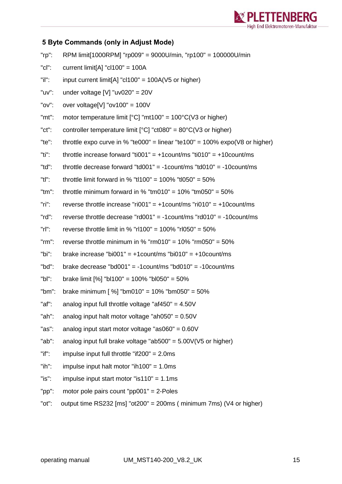

#### <span id="page-14-0"></span>**5 Byte Commands (only in Adjust Mode)**

| $"rp"$ :    | RPM limit[1000RPM] "rp009" = 9000U/min, "rp100" = 100000U/min                        |
|-------------|--------------------------------------------------------------------------------------|
| $"$ c $"$ : | current limit[A] " $cl100" = 100A$                                                   |
| "il":       | input current limit[A] " $c1100$ " = 100A(V5 or higher)                              |
| "uv":       | under voltage [V] "uv020" = $20V$                                                    |
| "ov":       | over voltage[V] " $ov100$ " = 100V                                                   |
| "mt":       | motor temperature limit $[°C]$ "mt100" = 100 $°C$ (V3 or higher)                     |
| "ct":       | controller temperature limit $[^{\circ}C]$ "ct080" = 80 $^{\circ}C$ (V3 or higher)   |
| "te":       | throttle expo curve in % "te000" = linear "te100" = 100% expo( $\sqrt{8}$ or higher) |
| "ti":       | throttle increase forward "ti001" = +1count/ms "ti010" = +10count/ms                 |
| "td":       | throttle decrease forward "td001" = -1 count/ms "td010" = -10 count/ms               |
| "tl":       | throttle limit forward in % "tl100" = 100% "tl050" = 50%                             |
| $"tm"$ :    | throttle minimum forward in % "tm010" = $10\%$ "tm050" = $50\%$                      |
| $"$ ri":    | reverse throttle increase "ri001" = $+1$ count/ms "ri010" = $+10$ count/ms           |
| $"rd"$ :    | reverse throttle decrease "rd001" = $-1$ count/ms "rd010" = $-10$ count/ms           |
| $"r"$ :     | reverse throttle limit in % "rl100" = 100% "rl050" = 50%                             |
| $"rm$ :     | reverse throttle minimum in % " $rm 010" = 10\%$ " $rm 050" = 50\%$                  |
| "bi":       | brake increase "bi001" = $+1$ count/ms "bi010" = $+10$ count/ms                      |
| "bd":       | brake decrease "bd001" = $-1$ count/ms "bd010" = $-10$ count/ms                      |
| $"bl"$ :    | brake limit [%] "bl100" = 100% "bl050" = 50%                                         |
| " $bm$ ":   | brake minimum [ $\%$ ] "bm010" = 10% "bm050" = 50%                                   |
| "af":       | analog input full throttle voltage "af450" = $4.50V$                                 |
| "ah":       | analog input halt motor voltage "ah050" = $0.50V$                                    |
| "as":       | analog input start motor voltage "as060" = $0.60V$                                   |
| "ab":       | analog input full brake voltage "ab500" = $5.00V(V5$ or higher)                      |
| $"$ if":    | impulse input full throttle "if $200" = 2.0$ ms                                      |
| $"ih"$ :    | impulse input halt motor "ih100" = $1.0$ ms                                          |
| "is":       | impulse input start motor "is110" = $1.1$ ms                                         |

- "pp": motor pole pairs count "pp001" = 2-Poles
- "ot": output time RS232 [ms] "ot200" = 200ms ( minimum 7ms) (V4 or higher)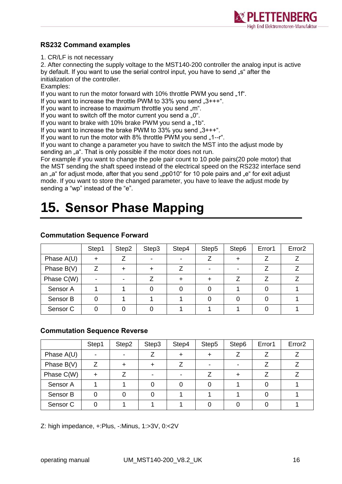

#### <span id="page-15-0"></span>**RS232 Command examples**

1. CR/LF is not necessary

2. After connecting the supply voltage to the MST140-200 controller the analog input is active by default. If you want to use the serial control input, you have to send "s" after the initialization of the controller.

Examples:

If you want to run the motor forward with 10% throttle PWM you send "1f".

If you want to increase the throttle PWM to 33% you send  $.3+++$ ".

If you want to increase to maximum throttle you send ..m.

If you want to switch off the motor current you send a  $.0^{\circ}$ .

If you want to brake with 10% brake PWM you send a "1b".

If you want to increase the brake PWM to  $33\%$  you send  $.3***$ .

If you want to run the motor with  $8\%$  throttle PWM you send  $.1 - r$ .

If you want to change a parameter you have to switch the MST into the adjust mode by sending an "a". That is only possible if the motor does not run.

For example if you want to change the pole pair count to 10 pole pairs(20 pole motor) that the MST sending the shaft speed instead of the electrical speed on the RS232 interface send an "a" for adjust mode, after that you send "pp010" for 10 pole pairs and "e" for exit adjust mode. If you want to store the changed parameter, you have to leave the adjust mode by sending a "wp" instead of the "e".

## <span id="page-15-1"></span>**15. Sensor Phase Mapping**

|                     | Step1 | Step2 | Step3 | Step4 | Step5                    | Step6 | Error1 | Error <sub>2</sub> |
|---------------------|-------|-------|-------|-------|--------------------------|-------|--------|--------------------|
| Phase $A(U)$        | ┿     |       |       |       |                          |       |        |                    |
| Phase $B(V)$        |       |       | ┿     |       | $\overline{\phantom{0}}$ |       |        |                    |
| Phase C(W)          |       |       |       |       |                          |       |        |                    |
| Sensor A            |       |       |       |       |                          |       |        |                    |
| Sensor B            |       |       |       |       |                          |       |        |                    |
| Sensor <sub>C</sub> |       |       |       |       |                          |       |        |                    |

#### <span id="page-15-2"></span>**Commutation Sequence Forward**

#### <span id="page-15-3"></span>**Commutation Sequence Reverse**

|              | Step1 | Step2 | Step3 | Step4 | Step5 | Step6 | Error1 | Error <sub>2</sub> |
|--------------|-------|-------|-------|-------|-------|-------|--------|--------------------|
| Phase $A(U)$ |       |       |       |       |       |       |        |                    |
| Phase $B(V)$ |       |       |       |       |       |       |        |                    |
| Phase C(W)   |       |       |       |       |       |       |        |                    |
| Sensor A     |       |       |       |       |       |       |        |                    |
| Sensor B     |       |       |       |       |       |       |        |                    |
| Sensor C     |       |       |       |       |       |       |        |                    |

Z: high impedance, +:Plus, -:Minus, 1:>3V, 0:<2V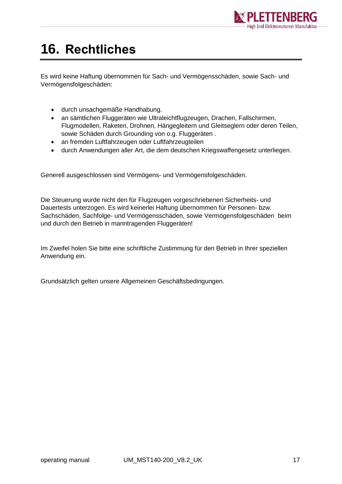

## <span id="page-16-0"></span>**16. Rechtliches**

Es wird keine Haftung übernommen für Sach- und Vermögensschäden, sowie Sach- und Vermögensfolgeschäden:

- durch unsachgemäße Handhabung.
- an sämtlichen Fluggeräten wie Ultraleichtflugzeugen, Drachen, Fallschirmen, Flugmodellen, Raketen, Drohnen, Hängegleitern und Gleitseglern oder deren Teilen, sowie Schäden durch Grounding von o.g. Fluggeräten .
- an fremden Luftfahrzeugen oder Luftfahrzeugteilen
- durch Anwendungen aller Art, die dem deutschen Kriegswaffengesetz unterliegen.

Generell ausgeschlossen sind Vermögens- und Vermögensfolgeschäden.

Die Steuerung wurde nicht den für Flugzeugen vorgeschriebenen Sicherheits- und Dauertests unterzogen. Es wird keinerlei Haftung übernommen für Personen- bzw. Sachschäden, Sachfolge- und Vermögensschäden, sowie Vermögensfolgeschäden beim und durch den Betrieb in manntragenden Fluggeräten!

Im Zweifel holen Sie bitte eine schriftliche Zustimmung für den Betrieb in Ihrer speziellen Anwendung ein.

Grundsätzlich gelten unsere Allgemeinen Geschäftsbedingungen.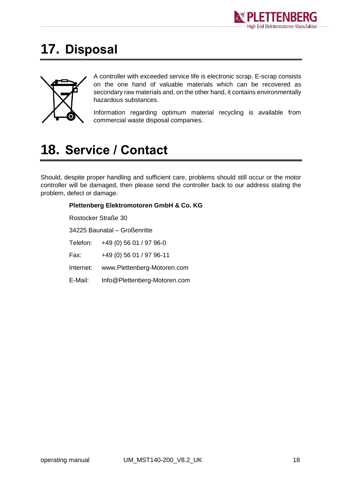

### <span id="page-17-0"></span>**17. Disposal**



A controller with exceeded service life is electronic scrap. E-scrap consists on the one hand of valuable materials which can be recovered as secondary raw materials and, on the other hand, it contains environmentally hazardous substances.

Information regarding optimum material recycling is available from commercial waste disposal companies.

### <span id="page-17-1"></span>**18. Service / Contact**

Should, despite proper handling and sufficient care, problems should still occur or the motor controller will be damaged, then please send the controller back to our address stating the problem, defect or damage.

#### **Plettenberg Elektromotoren GmbH & Co. KG** Rostocker Straße 30 34225 Baunatal – Großenritte Telefon: +49 (0) 56 01 / 97 96-0 Fax: +49 (0) 56 01 / 97 96-11 Internet: www.Plettenberg-Motoren.com E-Mail: [Info@Plettenberg-Motoren.com](mailto:Info@Plettenberg-Motoren.com)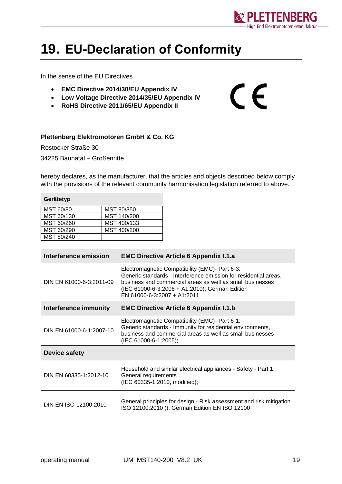

 $\epsilon$ 

## <span id="page-18-0"></span>**19. EU-Declaration of Conformity**

In the sense of the EU Directives

- **EMC Directive 2014/30/EU Appendix IV**
- **Low Voltage Directive 2014/35/EU Appendix IV**
- **RoHS Directive 2011/65/EU Appendix II**

#### **Plettenberg Elektromotoren GmbH & Co. KG**

Rostocker Straße 30 34225 Baunatal – Großenritte

hereby declares, as the manufacturer, that the articles and objects described below comply with the provisions of the relevant community harmonisation legislation referred to above.

| Gerätetyp  |             |  |  |  |  |
|------------|-------------|--|--|--|--|
| MST 60/80  | MST 80/350  |  |  |  |  |
| MST 60/130 | MST 140/200 |  |  |  |  |
| MST 60/260 | MST 400/133 |  |  |  |  |
| MST 60/290 | MST 400/200 |  |  |  |  |
| MST 80/240 |             |  |  |  |  |

| Interference emission    | <b>EMC Directive Article 6 Appendix I.1.a</b>                                                                                                                                                                                                                    |  |  |  |
|--------------------------|------------------------------------------------------------------------------------------------------------------------------------------------------------------------------------------------------------------------------------------------------------------|--|--|--|
| DIN EN 61000-6-3:2011-09 | Electromagnetic Compatibility (EMC)- Part 6-3:<br>Generic standards - Interference emission for residential areas,<br>business and commercial areas as well as small businesses<br>(IEC 61000-6-3:2006 + A1:2010); German Edition<br>EN 61000-6-3:2007 + A1:2011 |  |  |  |
| Interference immunity    | <b>EMC Directive Article 6 Appendix I.1.b</b>                                                                                                                                                                                                                    |  |  |  |
| DIN EN 61000-6-1:2007-10 | Electromagnetic Compatibility (EMC)- Part 6-1:<br>Generic standards - Immunity for residential environments,<br>business and commercial areas as well as small businesses<br>(IEC 61000-6-1:2005);                                                               |  |  |  |
| Device safety            |                                                                                                                                                                                                                                                                  |  |  |  |
| DIN EN 60335-1:2012-10   | Household and similar electrical appliances - Safety - Part 1:<br>General requirements<br>(IEC 60335-1:2010, modified);                                                                                                                                          |  |  |  |
| DIN EN ISO 12100:2010    | General principles for design - Risk assessment and risk mitigation<br>ISO 12100:2010 (): German Edition EN ISO 12100                                                                                                                                            |  |  |  |